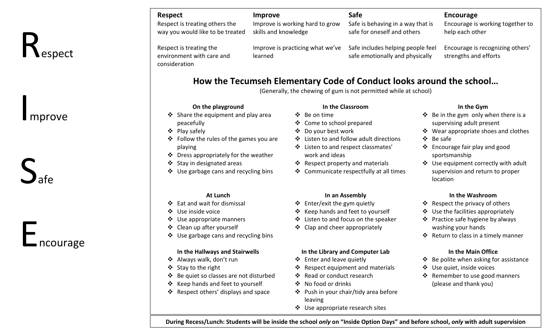# **R**espect

Improve

 $S_{\text{afe}}$ 

## ncourage

#### **Respect Improve Safe Encourage** Respect is treating others the way you would like to be treated Improve is working hard to grow skills and knowledge Respect is treating the Improve is practicing what we've Safe includes helping people feel

learned

Safe is behaving in a way that is safe for oneself and others

safe emotionally and physically

Encourage is working together to help each other

Encourage is recognizing others' strengths and efforts

## **How the Tecumseh Elementary Code of Conduct looks around the school…**

(Generally, the chewing of gum is not permitted while at school)

### **On the playground In the Classroom In the Gym**

- $\div$  Share the equipment and play area peacefully
- ❖ Play safely

environment with care and

consideration

- $\div$  Follow the rules of the games you are playing
- $\div$  Dress appropriately for the weather
- $\div$  Stay in designated areas
- $\div$  Use garbage cans and recycling bins

- $\div$  Eat and wait for dismissal
- $\div$  Use inside voice
- ❖ Use appropriate manners
- ❖ Clean up after yourself
- $\div$  Use garbage cans and recycling bins

- ❖ Always walk, don't run
- ❖ Stay to the right
- v Be quiet so classes are not disturbed
- ❖ Keep hands and feet to yourself
- $\div$  Respect others' displays and space

- $\mathbf{\hat{v}}$  Be on time
- v Come to school prepared
- v Do your best work
- $\div$  Listen to and follow adult directions
- v Listen to and respect classmates' work and ideas
- $\div$  Respect property and materials
- $\div$  Communicate respectfully at all times

- $\div$  Enter/exit the gym quietly
- v Keep hands and feet to yourself
- $\div$  Listen to and focus on the speaker
- $\div$  Clap and cheer appropriately

#### **In the Hallways and Stairwells In the Library and Computer Lab In the Main Office**

- $\div$  Enter and leave quietly
- $\triangleleft$  Respect equipment and materials
- ❖ Read or conduct research
- $\div$  No food or drinks
- v Push in your chair/tidy area before leaving
- v Use appropriate research sites

- $\div$  Be in the gym only when there is a supervising adult present
- $\div$  Wear appropriate shoes and clothes
- v Be safe
- $\div$  Encourage fair play and good sportsmanship
- $\div$  Use equipment correctly with adult supervision and return to proper location

#### **At Lunch In an Assembly In the Washroom**

- $\div$  Respect the privacy of others
- $\div$  Use the facilities appropriately
- $\div$  Practice safe hygiene by always washing your hands
- $\div$  Return to class in a timely manner

- $\div$  Be polite when asking for assistance
- ❖ Use quiet, inside voices
- $\div$  Remember to use good manners (please and thank you)

**During Recess/Lunch: Students will be inside the school** *only* **on "Inside Option Days" and before school,** *only* **with adult supervision**